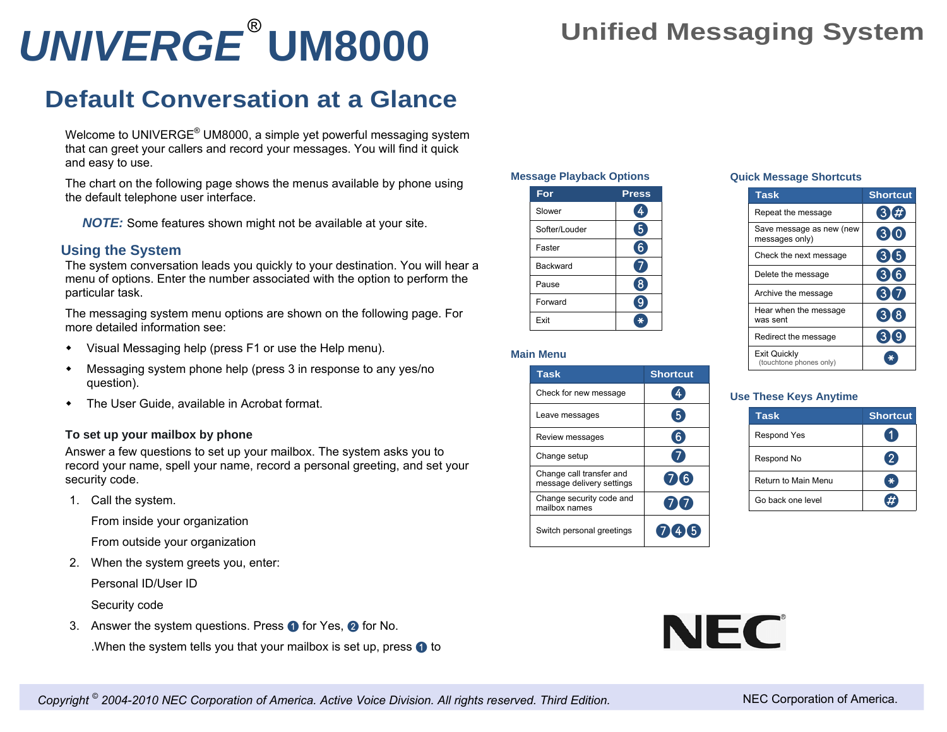# *UNIVERGE* **UM8000** ®

## **Unified Messaging System**

## **Default Conversation at a Glance**

Welcome to UNIVERGE® UM8000, a simple yet powerful messaging system that can greet your callers and record your messages. You will find it quick and easy to use.

The chart on the following page shows the menus available by phone using the default telephone user interface.

*NOTE:* Some features shown might not be available at your site.

### **Using the System**

The system conversation leads you quickly to your destination. You will hear a menu of options. Enter the number associated with the option to perform the particular task.

The messaging system menu options are shown on the following page. For more detailed information see:

- Visual Messaging help (press F1 or use the Help menu).
- Messaging system phone help (press 3 in response to any yes/no question).
- The User Guide, available in Acrobat format.

#### **To set up your mailbox by phone**

Answer a few questions to set up your mailbox. The system asks you to record your name, spell your name, record a personal greeting, and set your security code.

1. Call the system.

From inside your organization

From outside your organization

2. When the system greets you, enter:

Personal ID/User ID

Security code

3. Answer the system questions. Press  $\bigcirc$  for Yes,  $\bigcirc$  for No.

.When the system tells you that your mailbox is set up, press  $\bigcirc$  to

#### **Message Playback Options**

| For             | <b>Press</b> |
|-----------------|--------------|
| Slower          | 4            |
| Softer/Louder   | $\boxed{5}$  |
| Faster          | 6            |
| <b>Backward</b> |              |
| Pause           | ♦            |
| Forward         |              |
| Exit            | ¥            |

#### **Main Menu**

| <b>Task</b>                                           | <b>Shortcut</b> |
|-------------------------------------------------------|-----------------|
| Check for new message                                 |                 |
| Leave messages                                        |                 |
| Review messages                                       |                 |
| Change setup                                          |                 |
| Change call transfer and<br>message delivery settings | (716)           |
| Change security code and<br>mailbox names             | 717             |
| Switch personal greetings                             | 7(4)5           |

#### **Quick Message Shortcuts**

| <b>Task</b>                                | <b>Shortcut</b>   |
|--------------------------------------------|-------------------|
| Repeat the message                         | O)<br>#           |
| Save message as new (new<br>messages only) | (310)             |
| Check the next message                     | 315               |
| Delete the message                         | $\mathbf{3}$<br>6 |
| Archive the message                        | 3                 |
| Hear when the message<br>was sent          | (318)             |
| Redirect the message                       |                   |
| Exit Quickly<br>(touchtone phones only)    |                   |

#### **Use These Keys Anytime**

| Task                | <b>Shortcut</b> |
|---------------------|-----------------|
| <b>Respond Yes</b>  |                 |
| Respond No          | $\bullet$       |
| Return to Main Menu | ∗               |
| Go back one level   |                 |